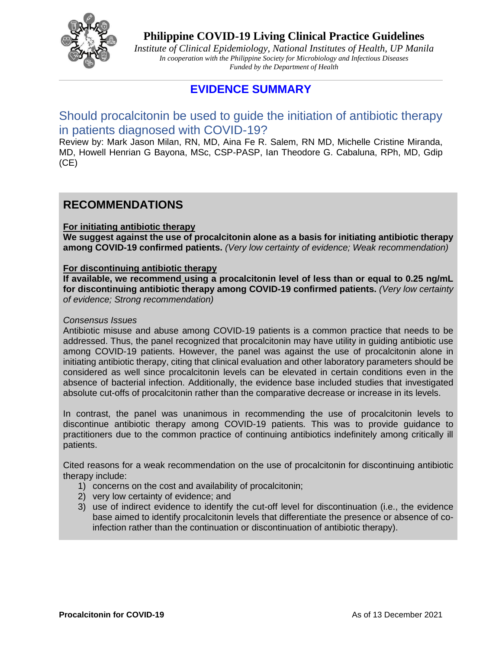

**Philippine COVID-19 Living Clinical Practice Guidelines**

*Institute of Clinical Epidemiology, National Institutes of Health, UP Manila In cooperation with the Philippine Society for Microbiology and Infectious Diseases Funded by the Department of Health* 

## **EVIDENCE SUMMARY**

## Should procalcitonin be used to guide the initiation of antibiotic therapy in patients diagnosed with COVID-19?

Review by: Mark Jason Milan, RN, MD, Aina Fe R. Salem, RN MD, Michelle Cristine Miranda, MD, Howell Henrian G Bayona, MSc, CSP-PASP, Ian Theodore G. Cabaluna, RPh, MD, Gdip (CE)

## **RECOMMENDATIONS**

### **For initiating antibiotic therapy**

**We suggest against the use of procalcitonin alone as a basis for initiating antibiotic therapy among COVID-19 confirmed patients.** *(Very low certainty of evidence; Weak recommendation)*

#### **For discontinuing antibiotic therapy**

**If available, we recommend using a procalcitonin level of less than or equal to 0.25 ng/mL for discontinuing antibiotic therapy among COVID-19 confirmed patients.** *(Very low certainty of evidence; Strong recommendation)*

#### *Consensus Issues*

Antibiotic misuse and abuse among COVID-19 patients is a common practice that needs to be addressed. Thus, the panel recognized that procalcitonin may have utility in guiding antibiotic use among COVID-19 patients. However, the panel was against the use of procalcitonin alone in initiating antibiotic therapy, citing that clinical evaluation and other laboratory parameters should be considered as well since procalcitonin levels can be elevated in certain conditions even in the absence of bacterial infection. Additionally, the evidence base included studies that investigated absolute cut-offs of procalcitonin rather than the comparative decrease or increase in its levels.

In contrast, the panel was unanimous in recommending the use of procalcitonin levels to discontinue antibiotic therapy among COVID-19 patients. This was to provide guidance to practitioners due to the common practice of continuing antibiotics indefinitely among critically ill patients.

Cited reasons for a weak recommendation on the use of procalcitonin for discontinuing antibiotic therapy include:

- 1) concerns on the cost and availability of procalcitonin;
- 2) very low certainty of evidence; and
- 3) use of indirect evidence to identify the cut-off level for discontinuation (i.e., the evidence base aimed to identify procalcitonin levels that differentiate the presence or absence of coinfection rather than the continuation or discontinuation of antibiotic therapy).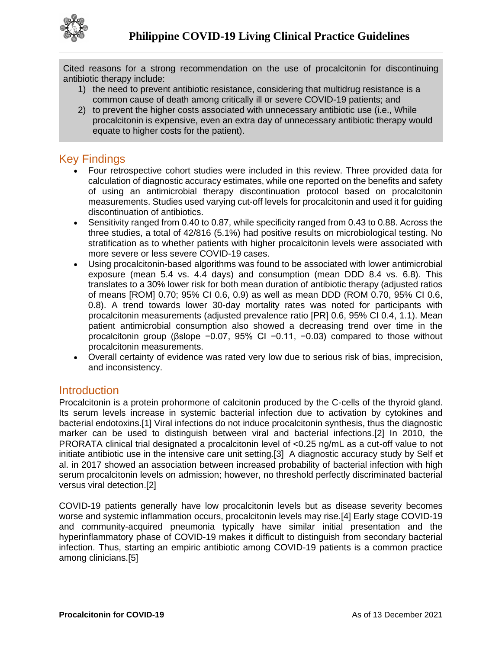

Cited reasons for a strong recommendation on the use of procalcitonin for discontinuing antibiotic therapy include:

- 1) the need to prevent antibiotic resistance, considering that multidrug resistance is a common cause of death among critically ill or severe COVID-19 patients; and
- 2) to prevent the higher costs associated with unnecessary antibiotic use (i.e., While procalcitonin is expensive, even an extra day of unnecessary antibiotic therapy would equate to higher costs for the patient).

## Key Findings

- Four retrospective cohort studies were included in this review. Three provided data for calculation of diagnostic accuracy estimates, while one reported on the benefits and safety of using an antimicrobial therapy discontinuation protocol based on procalcitonin measurements. Studies used varying cut-off levels for procalcitonin and used it for guiding discontinuation of antibiotics.
- Sensitivity ranged from 0.40 to 0.87, while specificity ranged from 0.43 to 0.88. Across the three studies, a total of 42/816 (5.1%) had positive results on microbiological testing. No stratification as to whether patients with higher procalcitonin levels were associated with more severe or less severe COVID-19 cases.
- Using procalcitonin-based algorithms was found to be associated with lower antimicrobial exposure (mean 5.4 vs. 4.4 days) and consumption (mean DDD 8.4 vs. 6.8). This translates to a 30% lower risk for both mean duration of antibiotic therapy (adjusted ratios of means [ROM] 0.70; 95% CI 0.6, 0.9) as well as mean DDD (ROM 0.70, 95% CI 0.6, 0.8). A trend towards lower 30-day mortality rates was noted for participants with procalcitonin measurements (adjusted prevalence ratio [PR] 0.6, 95% CI 0.4, 1.1). Mean patient antimicrobial consumption also showed a decreasing trend over time in the procalcitonin group (βslope −0.07, 95% CI −0.11, −0.03) compared to those without procalcitonin measurements.
- Overall certainty of evidence was rated very low due to serious risk of bias, imprecision, and inconsistency.

## **Introduction**

Procalcitonin is a protein prohormone of calcitonin produced by the C-cells of the thyroid gland. Its serum levels increase in systemic bacterial infection due to activation by cytokines and bacterial endotoxins.[1] Viral infections do not induce procalcitonin synthesis, thus the diagnostic marker can be used to distinguish between viral and bacterial infections.[2] In 2010, the PRORATA clinical trial designated a procalcitonin level of <0.25 ng/mL as a cut-off value to not initiate antibiotic use in the intensive care unit setting.[3] A diagnostic accuracy study by Self et al. in 2017 showed an association between increased probability of bacterial infection with high serum procalcitonin levels on admission; however, no threshold perfectly discriminated bacterial versus viral detection.[2]

COVID-19 patients generally have low procalcitonin levels but as disease severity becomes worse and systemic inflammation occurs, procalcitonin levels may rise.[4] Early stage COVID-19 and community-acquired pneumonia typically have similar initial presentation and the hyperinflammatory phase of COVID-19 makes it difficult to distinguish from secondary bacterial infection. Thus, starting an empiric antibiotic among COVID-19 patients is a common practice among clinicians.[5]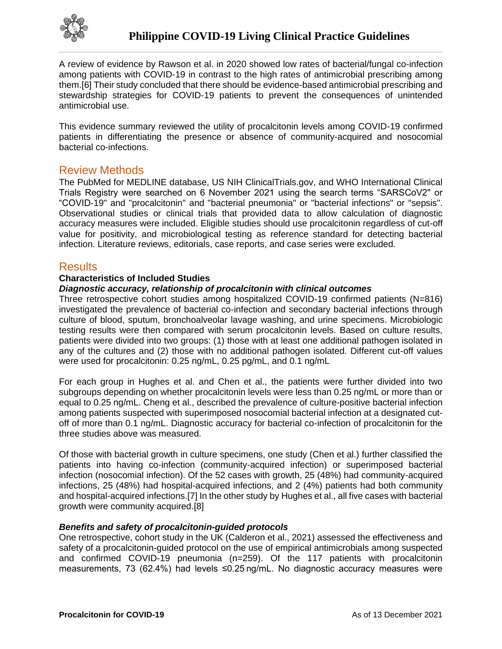

A review of evidence by Rawson et al. in 2020 showed low rates of bacterial/fungal co-infection among patients with COVID-19 in contrast to the high rates of antimicrobial prescribing among them.[6] Their study concluded that there should be evidence-based antimicrobial prescribing and stewardship strategies for COVID-19 patients to prevent the consequences of unintended antimicrobial use.

This evidence summary reviewed the utility of procalcitonin levels among COVID-19 confirmed patients in differentiating the presence or absence of community-acquired and nosocomial bacterial co-infections.

## Review Methods

The PubMed for MEDLINE database, US NIH ClinicalTrials.gov, and WHO International Clinical Trials Registry were searched on 6 November 2021 using the search terms "SARSCoV2" or "COVID-19" and "procalcitonin" and "bacterial pneumonia" or "bacterial infections" or "sepsis". Observational studies or clinical trials that provided data to allow calculation of diagnostic accuracy measures were included. Eligible studies should use procalcitonin regardless of cut-off value for positivity, and microbiological testing as reference standard for detecting bacterial infection. Literature reviews, editorials, case reports, and case series were excluded.

### **Results**

#### **Characteristics of Included Studies**

### *Diagnostic accuracy, relationship of procalcitonin with clinical outcomes*

Three retrospective cohort studies among hospitalized COVID-19 confirmed patients (N=816) investigated the prevalence of bacterial co-infection and secondary bacterial infections through culture of blood, sputum, bronchoalveolar lavage washing, and urine specimens. Microbiologic testing results were then compared with serum procalcitonin levels. Based on culture results, patients were divided into two groups: (1) those with at least one additional pathogen isolated in any of the cultures and (2) those with no additional pathogen isolated. Different cut-off values were used for procalcitonin: 0.25 ng/mL, 0.25 pg/mL, and 0.1 ng/mL

For each group in Hughes et al. and Chen et al., the patients were further divided into two subgroups depending on whether procalcitonin levels were less than 0.25 ng/mL or more than or equal to 0.25 ng/mL. Cheng et al., described the prevalence of culture-positive bacterial infection among patients suspected with superimposed nosocomial bacterial infection at a designated cutoff of more than 0.1 ng/mL. Diagnostic accuracy for bacterial co-infection of procalcitonin for the three studies above was measured.

Of those with bacterial growth in culture specimens, one study (Chen et al.) further classified the patients into having co-infection (community-acquired infection) or superimposed bacterial infection (nosocomial infection). Of the 52 cases with growth, 25 (48%) had community-acquired infections, 25 (48%) had hospital-acquired infections, and 2 (4%) patients had both community and hospital-acquired infections.[7] In the other study by Hughes et al., all five cases with bacterial growth were community acquired.[8]

#### *Benefits and safety of procalcitonin-guided protocols*

One retrospective, cohort study in the UK (Calderon et al., 2021) assessed the effectiveness and safety of a procalcitonin-guided protocol on the use of empirical antimicrobials among suspected and confirmed COVID-19 pneumonia (n=259). Of the 117 patients with procalcitonin measurements, 73 (62.4%) had levels ≤0.25 ng/mL. No diagnostic accuracy measures were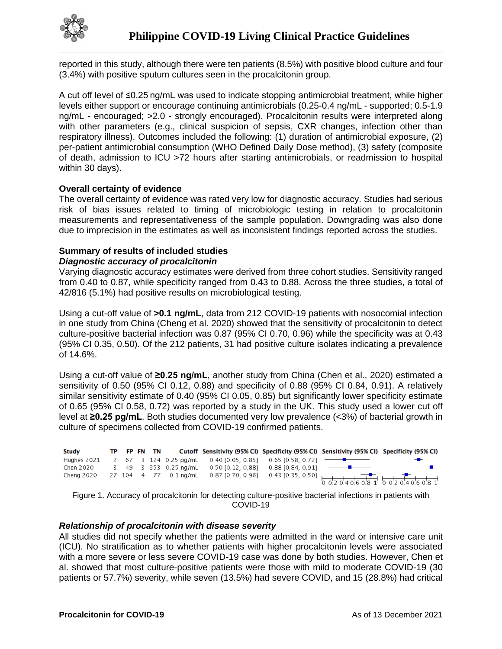

reported in this study, although there were ten patients (8.5%) with positive blood culture and four (3.4%) with positive sputum cultures seen in the procalcitonin group.

A cut off level of ≤0.25 ng/mL was used to indicate stopping antimicrobial treatment, while higher levels either support or encourage continuing antimicrobials (0.25-0.4 ng/mL - supported; 0.5-1.9 ng/mL - encouraged; >2.0 - strongly encouraged). Procalcitonin results were interpreted along with other parameters (e.g., clinical suspicion of sepsis, CXR changes, infection other than respiratory illness). Outcomes included the following: (1) duration of antimicrobial exposure, (2) per-patient antimicrobial consumption (WHO Defined Daily Dose method), (3) safety (composite of death, admission to ICU >72 hours after starting antimicrobials, or readmission to hospital within 30 days).

#### **Overall certainty of evidence**

The overall certainty of evidence was rated very low for diagnostic accuracy. Studies had serious risk of bias issues related to timing of microbiologic testing in relation to procalcitonin measurements and representativeness of the sample population. Downgrading was also done due to imprecision in the estimates as well as inconsistent findings reported across the studies.

### **Summary of results of included studies**

#### *Diagnostic accuracy of procalcitonin*

Varying diagnostic accuracy estimates were derived from three cohort studies. Sensitivity ranged from 0.40 to 0.87, while specificity ranged from 0.43 to 0.88. Across the three studies, a total of 42/816 (5.1%) had positive results on microbiological testing.

Using a cut-off value of **>0.1 ng/mL**, data from 212 COVID-19 patients with nosocomial infection in one study from China (Cheng et al. 2020) showed that the sensitivity of procalcitonin to detect culture-positive bacterial infection was 0.87 (95% CI 0.70, 0.96) while the specificity was at 0.43 (95% CI 0.35, 0.50). Of the 212 patients, 31 had positive culture isolates indicating a prevalence of 14.6%.

Using a cut-off value of **≥0.25 ng/mL**, another study from China (Chen et al., 2020) estimated a sensitivity of 0.50 (95% CI 0.12, 0.88) and specificity of 0.88 (95% CI 0.84, 0.91). A relatively similar sensitivity estimate of 0.40 (95% CI 0.05, 0.85) but significantly lower specificity estimate of 0.65 (95% CI 0.58, 0.72) was reported by a study in the UK. This study used a lower cut off level at **≥0.25 pg/mL**. Both studies documented very low prevalence (<3%) of bacterial growth in culture of specimens collected from COVID-19 confirmed patients.



Figure 1. Accuracy of procalcitonin for detecting culture-positive bacterial infections in patients with COVID-19

#### *Relationship of procalcitonin with disease severity*

All studies did not specify whether the patients were admitted in the ward or intensive care unit (ICU). No stratification as to whether patients with higher procalcitonin levels were associated with a more severe or less severe COVID-19 case was done by both studies. However, Chen et al. showed that most culture-positive patients were those with mild to moderate COVID-19 (30 patients or 57.7%) severity, while seven (13.5%) had severe COVID, and 15 (28.8%) had critical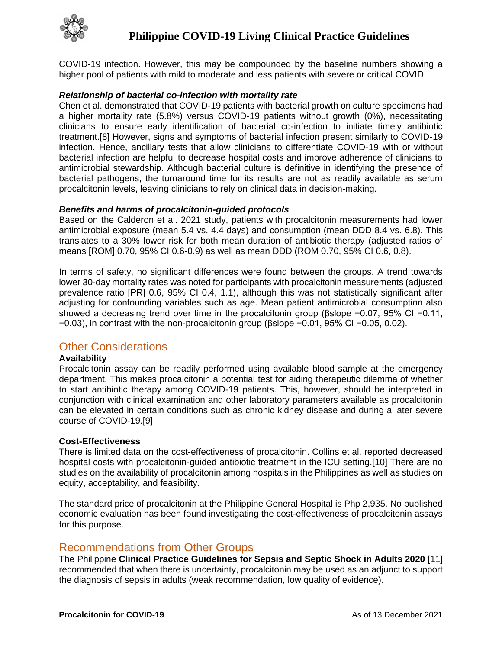

COVID-19 infection. However, this may be compounded by the baseline numbers showing a higher pool of patients with mild to moderate and less patients with severe or critical COVID.

#### *Relationship of bacterial co-infection with mortality rate*

Chen et al. demonstrated that COVID-19 patients with bacterial growth on culture specimens had a higher mortality rate (5.8%) versus COVID-19 patients without growth (0%), necessitating clinicians to ensure early identification of bacterial co-infection to initiate timely antibiotic treatment.[8] However, signs and symptoms of bacterial infection present similarly to COVID-19 infection. Hence, ancillary tests that allow clinicians to differentiate COVID-19 with or without bacterial infection are helpful to decrease hospital costs and improve adherence of clinicians to antimicrobial stewardship. Although bacterial culture is definitive in identifying the presence of bacterial pathogens, the turnaround time for its results are not as readily available as serum procalcitonin levels, leaving clinicians to rely on clinical data in decision-making.

#### *Benefits and harms of procalcitonin-guided protocols*

Based on the Calderon et al. 2021 study, patients with procalcitonin measurements had lower antimicrobial exposure (mean 5.4 vs. 4.4 days) and consumption (mean DDD 8.4 vs. 6.8). This translates to a 30% lower risk for both mean duration of antibiotic therapy (adjusted ratios of means [ROM] 0.70, 95% CI 0.6-0.9) as well as mean DDD (ROM 0.70, 95% CI 0.6, 0.8).

In terms of safety, no significant differences were found between the groups. A trend towards lower 30-day mortality rates was noted for participants with procalcitonin measurements (adjusted prevalence ratio [PR] 0.6, 95% CI 0.4, 1.1), although this was not statistically significant after adjusting for confounding variables such as age. Mean patient antimicrobial consumption also showed a decreasing trend over time in the procalcitonin group (βslope −0.07, 95% CI −0.11, −0.03), in contrast with the non-procalcitonin group (βslope −0.01, 95% CI −0.05, 0.02).

## Other Considerations

#### **Availability**

Procalcitonin assay can be readily performed using available blood sample at the emergency department. This makes procalcitonin a potential test for aiding therapeutic dilemma of whether to start antibiotic therapy among COVID-19 patients. This, however, should be interpreted in conjunction with clinical examination and other laboratory parameters available as procalcitonin can be elevated in certain conditions such as chronic kidney disease and during a later severe course of COVID-19.[9]

#### **Cost-Effectiveness**

There is limited data on the cost-effectiveness of procalcitonin. Collins et al. reported decreased hospital costs with procalcitonin-guided antibiotic treatment in the ICU setting.[10] There are no studies on the availability of procalcitonin among hospitals in the Philippines as well as studies on equity, acceptability, and feasibility.

The standard price of procalcitonin at the Philippine General Hospital is Php 2,935. No published economic evaluation has been found investigating the cost-effectiveness of procalcitonin assays for this purpose.

## Recommendations from Other Groups

The Philippine **Clinical Practice Guidelines for Sepsis and Septic Shock in Adults 2020** [11] recommended that when there is uncertainty, procalcitonin may be used as an adjunct to support the diagnosis of sepsis in adults (weak recommendation, low quality of evidence).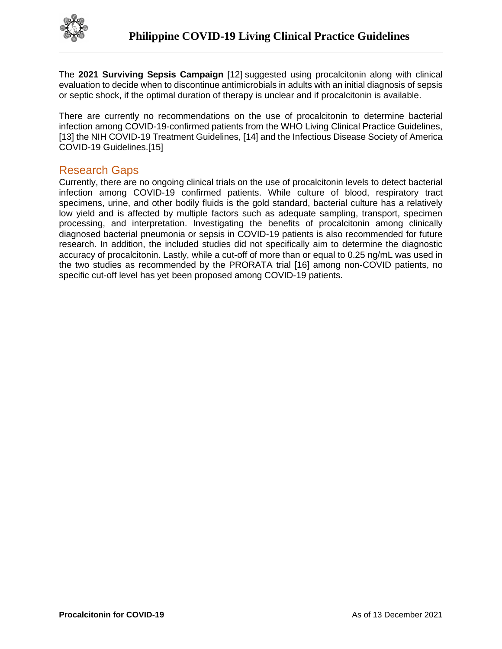

The **2021 Surviving Sepsis Campaign** [12] suggested using procalcitonin along with clinical evaluation to decide when to discontinue antimicrobials in adults with an initial diagnosis of sepsis or septic shock, if the optimal duration of therapy is unclear and if procalcitonin is available.

There are currently no recommendations on the use of procalcitonin to determine bacterial infection among COVID-19-confirmed patients from the WHO Living Clinical Practice Guidelines, [13] the NIH COVID-19 Treatment Guidelines, [14] and the Infectious Disease Society of America COVID-19 Guidelines.[15]

## Research Gaps

Currently, there are no ongoing clinical trials on the use of procalcitonin levels to detect bacterial infection among COVID-19 confirmed patients. While culture of blood, respiratory tract specimens, urine, and other bodily fluids is the gold standard, bacterial culture has a relatively low yield and is affected by multiple factors such as adequate sampling, transport, specimen processing, and interpretation. Investigating the benefits of procalcitonin among clinically diagnosed bacterial pneumonia or sepsis in COVID-19 patients is also recommended for future research. In addition, the included studies did not specifically aim to determine the diagnostic accuracy of procalcitonin. Lastly, while a cut-off of more than or equal to 0.25 ng/mL was used in the two studies as recommended by the PRORATA trial [16] among non-COVID patients, no specific cut-off level has yet been proposed among COVID-19 patients.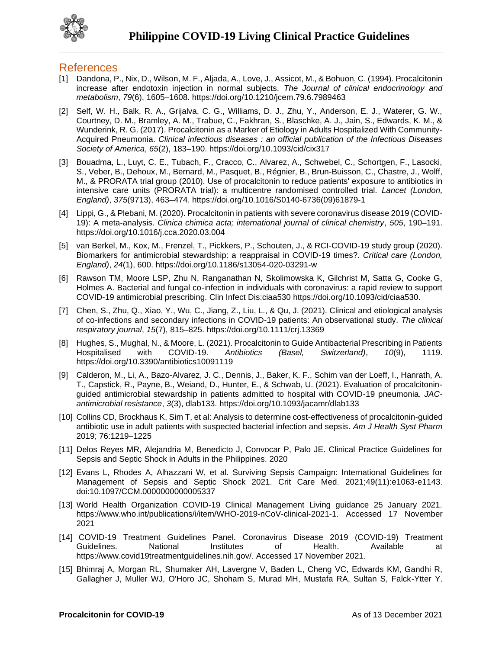

### References

- [1] Dandona, P., Nix, D., Wilson, M. F., Aljada, A., Love, J., Assicot, M., & Bohuon, C. (1994). Procalcitonin increase after endotoxin injection in normal subjects. *The Journal of clinical endocrinology and metabolism*, *79*(6), 1605–1608. https://doi.org/10.1210/jcem.79.6.7989463
- [2] Self, W. H., Balk, R. A., Grijalva, C. G., Williams, D. J., Zhu, Y., Anderson, E. J., Waterer, G. W., Courtney, D. M., Bramley, A. M., Trabue, C., Fakhran, S., Blaschke, A. J., Jain, S., Edwards, K. M., & Wunderink, R. G. (2017). Procalcitonin as a Marker of Etiology in Adults Hospitalized With Community-Acquired Pneumonia. *Clinical infectious diseases : an official publication of the Infectious Diseases Society of America*, *65*(2), 183–190. https://doi.org/10.1093/cid/cix317
- [3] Bouadma, L., Luyt, C. E., Tubach, F., Cracco, C., Alvarez, A., Schwebel, C., Schortgen, F., Lasocki, S., Veber, B., Dehoux, M., Bernard, M., Pasquet, B., Régnier, B., Brun-Buisson, C., Chastre, J., Wolff, M., & PRORATA trial group (2010). Use of procalcitonin to reduce patients' exposure to antibiotics in intensive care units (PRORATA trial): a multicentre randomised controlled trial. *Lancet (London, England)*, *375*(9713), 463–474. https://doi.org/10.1016/S0140-6736(09)61879-1
- [4] Lippi, G., & Plebani, M. (2020). Procalcitonin in patients with severe coronavirus disease 2019 (COVID-19): A meta-analysis. *Clinica chimica acta; international journal of clinical chemistry*, *505*, 190–191. https://doi.org/10.1016/j.cca.2020.03.004
- [5] van Berkel, M., Kox, M., Frenzel, T., Pickkers, P., Schouten, J., & RCI-COVID-19 study group (2020). Biomarkers for antimicrobial stewardship: a reappraisal in COVID-19 times?. *Critical care (London, England)*, *24*(1), 600. https://doi.org/10.1186/s13054-020-03291-w
- [6] Rawson TM, Moore LSP, Zhu N, Ranganathan N, Skolimowska K, Gilchrist M, Satta G, Cooke G, Holmes A. Bacterial and fungal co-infection in individuals with coronavirus: a rapid review to support COVID-19 antimicrobial prescribing. Clin Infect Dis:ciaa530 https://doi.org/10.1093/cid/ciaa530.
- [7] Chen, S., Zhu, Q., Xiao, Y., Wu, C., Jiang, Z., Liu, L., & Qu, J. (2021). Clinical and etiological analysis of co-infections and secondary infections in COVID-19 patients: An observational study. *The clinical respiratory journal*, *15*(7), 815–825. https://doi.org/10.1111/crj.13369
- [8] Hughes, S., Mughal, N., & Moore, L. (2021). Procalcitonin to Guide Antibacterial Prescribing in Patients Hospitalised with COVID-19. *Antibiotics (Basel, Switzerland)*, *10*(9), 1119. https://doi.org/10.3390/antibiotics10091119
- [9] Calderon, M., Li, A., Bazo-Alvarez, J. C., Dennis, J., Baker, K. F., Schim van der Loeff, I., Hanrath, A. T., Capstick, R., Payne, B., Weiand, D., Hunter, E., & Schwab, U. (2021). Evaluation of procalcitoninguided antimicrobial stewardship in patients admitted to hospital with COVID-19 pneumonia. *JACantimicrobial resistance*, *3*(3), dlab133. https://doi.org/10.1093/jacamr/dlab133
- [10] Collins CD, Brockhaus K, Sim T, et al: Analysis to determine cost-effectiveness of procalcitonin-guided antibiotic use in adult patients with suspected bacterial infection and sepsis. *Am J Health Syst Pharm*  2019; 76:1219–1225
- [11] Delos Reyes MR, Alejandria M, Benedicto J, Convocar P, Palo JE. Clinical Practice Guidelines for Sepsis and Septic Shock in Adults in the Philippines. 2020
- [12] Evans L, Rhodes A, Alhazzani W, et al. Surviving Sepsis Campaign: International Guidelines for Management of Sepsis and Septic Shock 2021. Crit Care Med. 2021;49(11):e1063-e1143. doi:10.1097/CCM.0000000000005337
- [13] World Health Organization COVID-19 Clinical Management Living guidance 25 January 2021. https://www.who.int/publications/i/item/WHO-2019-nCoV-clinical-2021-1. Accessed 17 November 2021
- [14] COVID-19 Treatment Guidelines Panel. Coronavirus Disease 2019 (COVID-19) Treatment Guidelines. National Institutes of Health. Available at https://www.covid19treatmentguidelines.nih.gov/. Accessed 17 November 2021.
- [15] Bhimraj A, Morgan RL, Shumaker AH, Lavergne V, Baden L, Cheng VC, Edwards KM, Gandhi R, Gallagher J, Muller WJ, O'Horo JC, Shoham S, Murad MH, Mustafa RA, Sultan S, Falck-Ytter Y.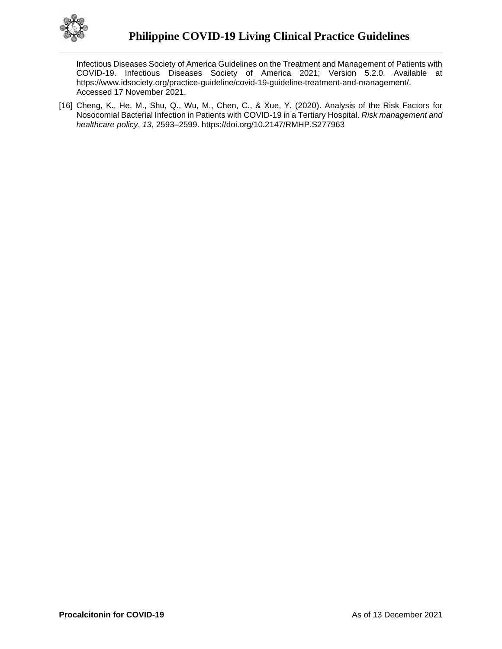

Infectious Diseases Society of America Guidelines on the Treatment and Management of Patients with COVID-19. Infectious Diseases Society of America 2021; Version 5.2.0. Available at https://www.idsociety.org/practice-guideline/covid-19-guideline-treatment-and-management/. Accessed 17 November 2021.

[16] Cheng, K., He, M., Shu, Q., Wu, M., Chen, C., & Xue, Y. (2020). Analysis of the Risk Factors for Nosocomial Bacterial Infection in Patients with COVID-19 in a Tertiary Hospital. *Risk management and healthcare policy*, *13*, 2593–2599. https://doi.org/10.2147/RMHP.S277963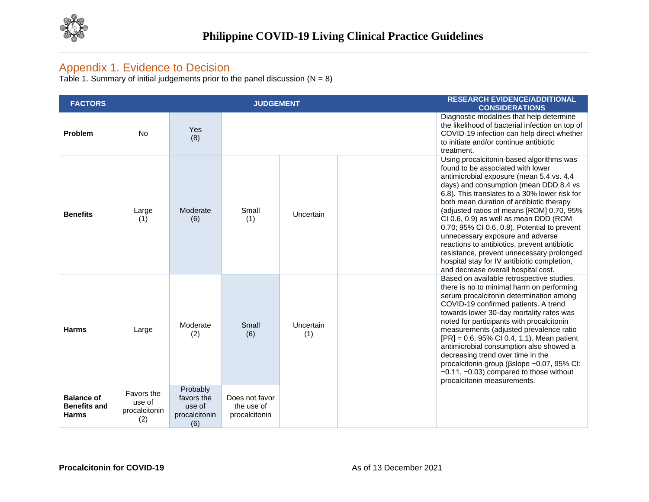

## Appendix 1. Evidence to Decision

Table 1. Summary of initial judgements prior to the panel discussion  $(N = 8)$ 

| <b>FACTORS</b>                                           |                                              |                                                          | <b>JUDGEMENT</b>                              |                  | <b>RESEARCH EVIDENCE/ADDITIONAL</b><br><b>CONSIDERATIONS</b>                                                                                                                                                                                                                                                                                                                                                                                                                                                                                                                                                                  |
|----------------------------------------------------------|----------------------------------------------|----------------------------------------------------------|-----------------------------------------------|------------------|-------------------------------------------------------------------------------------------------------------------------------------------------------------------------------------------------------------------------------------------------------------------------------------------------------------------------------------------------------------------------------------------------------------------------------------------------------------------------------------------------------------------------------------------------------------------------------------------------------------------------------|
| Problem                                                  | <b>No</b>                                    | <b>Yes</b><br>(8)                                        |                                               |                  | Diagnostic modalities that help determine<br>the likelihood of bacterial infection on top of<br>COVID-19 infection can help direct whether<br>to initiate and/or continue antibiotic<br>treatment.                                                                                                                                                                                                                                                                                                                                                                                                                            |
| <b>Benefits</b>                                          | Large<br>(1)                                 | Moderate<br>(6)                                          | Small<br>(1)                                  | Uncertain        | Using procalcitonin-based algorithms was<br>found to be associated with lower<br>antimicrobial exposure (mean 5.4 vs. 4.4<br>days) and consumption (mean DDD 8.4 vs<br>6.8). This translates to a 30% lower risk for<br>both mean duration of antibiotic therapy<br>(adjusted ratios of means [ROM] 0.70, 95%<br>CI 0.6, 0.9) as well as mean DDD (ROM<br>0.70; 95% CI 0.6, 0.8). Potential to prevent<br>unnecessary exposure and adverse<br>reactions to antibiotics, prevent antibiotic<br>resistance, prevent unnecessary prolonged<br>hospital stay for IV antibiotic completion,<br>and decrease overall hospital cost. |
| Harms                                                    | Large                                        | Moderate<br>(2)                                          | Small<br>(6)                                  | Uncertain<br>(1) | Based on available retrospective studies,<br>there is no to minimal harm on performing<br>serum procalcitonin determination among<br>COVID-19 confirmed patients. A trend<br>towards lower 30-day mortality rates was<br>noted for participants with procalcitonin<br>measurements (adjusted prevalence ratio<br>$[PR] = 0.6$ , 95% Cl 0.4, 1.1). Mean patient<br>antimicrobial consumption also showed a<br>decreasing trend over time in the<br>procalcitonin group (βslope -0.07, 95% CI:<br>$-0.11$ , $-0.03$ ) compared to those without<br>procalcitonin measurements.                                                  |
| <b>Balance of</b><br><b>Benefits and</b><br><b>Harms</b> | Favors the<br>use of<br>procalcitonin<br>(2) | Probably<br>favors the<br>use of<br>procalcitonin<br>(6) | Does not favor<br>the use of<br>procalcitonin |                  |                                                                                                                                                                                                                                                                                                                                                                                                                                                                                                                                                                                                                               |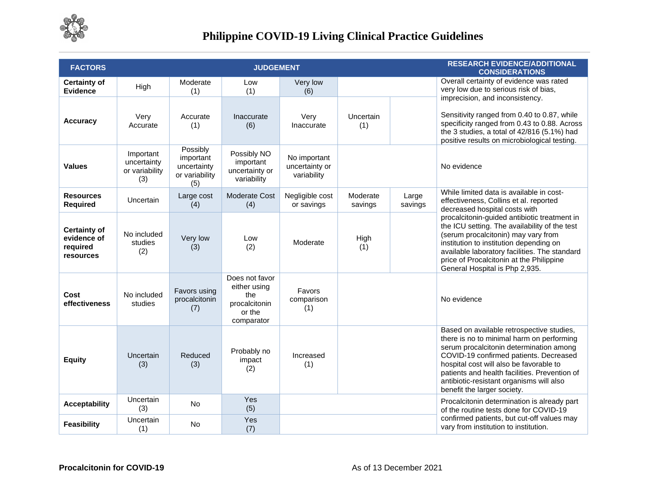

# **Philippine COVID-19 Living Clinical Practice Guidelines**

| <b>FACTORS</b>                                              |                                                   |                                                               | <b>JUDGEMENT</b>                                                               |                                               |                     |                  | <b>RESEARCH EVIDENCE/ADDITIONAL</b><br><b>CONSIDERATIONS</b>                                                                                                                                                                                                                                                                                       |
|-------------------------------------------------------------|---------------------------------------------------|---------------------------------------------------------------|--------------------------------------------------------------------------------|-----------------------------------------------|---------------------|------------------|----------------------------------------------------------------------------------------------------------------------------------------------------------------------------------------------------------------------------------------------------------------------------------------------------------------------------------------------------|
| <b>Certainty of</b><br><b>Evidence</b>                      | High                                              | Moderate<br>(1)                                               | Low<br>(1)                                                                     | Very low<br>(6)                               |                     |                  | Overall certainty of evidence was rated<br>very low due to serious risk of bias,<br>imprecision, and inconsistency.                                                                                                                                                                                                                                |
| <b>Accuracy</b>                                             | Very<br>Accurate                                  | Accurate<br>(1)                                               | Inaccurate<br>(6)                                                              | Very<br>Inaccurate                            | Uncertain<br>(1)    |                  | Sensitivity ranged from 0.40 to 0.87, while<br>specificity ranged from 0.43 to 0.88. Across<br>the 3 studies, a total of 42/816 (5.1%) had<br>positive results on microbiological testing.                                                                                                                                                         |
| <b>Values</b>                                               | Important<br>uncertainty<br>or variability<br>(3) | Possibly<br>important<br>uncertainty<br>or variability<br>(5) | Possibly NO<br>important<br>uncertainty or<br>variability                      | No important<br>uncertainty or<br>variability |                     |                  | No evidence                                                                                                                                                                                                                                                                                                                                        |
| <b>Resources</b><br><b>Required</b>                         | Uncertain                                         | Large cost<br>(4)                                             | Moderate Cost<br>(4)                                                           | Negligible cost<br>or savings                 | Moderate<br>savings | Large<br>savings | While limited data is available in cost-<br>effectiveness, Collins et al. reported<br>decreased hospital costs with                                                                                                                                                                                                                                |
| <b>Certainty of</b><br>evidence of<br>required<br>resources | No included<br>studies<br>(2)                     | Very low<br>(3)                                               | Low<br>(2)                                                                     | Moderate                                      | High<br>(1)         |                  | procalcitonin-guided antibiotic treatment in<br>the ICU setting. The availability of the test<br>(serum procalcitonin) may vary from<br>institution to institution depending on<br>available laboratory facilities. The standard<br>price of Procalcitonin at the Philippine<br>General Hospital is Php 2,935.                                     |
| Cost<br>effectiveness                                       | No included<br>studies                            | Favors using<br>procalcitonin<br>(7)                          | Does not favor<br>either using<br>the<br>procalcitonin<br>or the<br>comparator | Favors<br>comparison<br>(1)                   |                     |                  | No evidence                                                                                                                                                                                                                                                                                                                                        |
| <b>Equity</b>                                               | Uncertain<br>(3)                                  | Reduced<br>(3)                                                | Probably no<br>impact<br>(2)                                                   | Increased<br>(1)                              |                     |                  | Based on available retrospective studies,<br>there is no to minimal harm on performing<br>serum procalcitonin determination among<br>COVID-19 confirmed patients. Decreased<br>hospital cost will also be favorable to<br>patients and health facilities. Prevention of<br>antibiotic-resistant organisms will also<br>benefit the larger society. |
| <b>Acceptability</b>                                        | Uncertain<br>(3)                                  | <b>No</b>                                                     | Yes<br>(5)                                                                     |                                               |                     |                  | Procalcitonin determination is already part<br>of the routine tests done for COVID-19                                                                                                                                                                                                                                                              |
| <b>Feasibility</b>                                          | Uncertain<br>(1)                                  | <b>No</b>                                                     | Yes<br>(7)                                                                     |                                               |                     |                  | confirmed patients, but cut-off values may<br>vary from institution to institution.                                                                                                                                                                                                                                                                |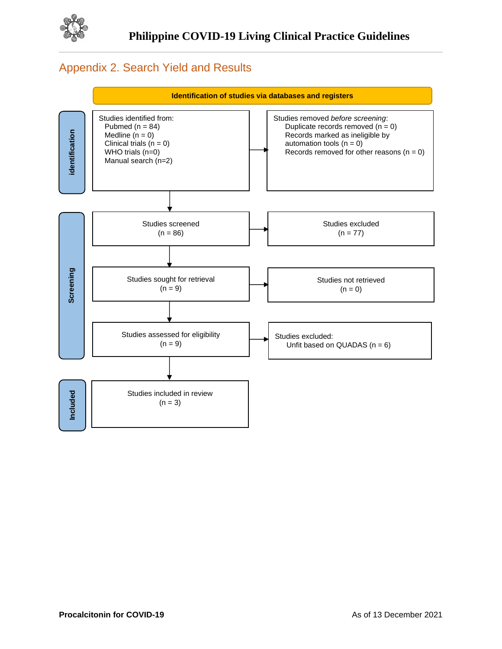

## Appendix 2. Search Yield and Results

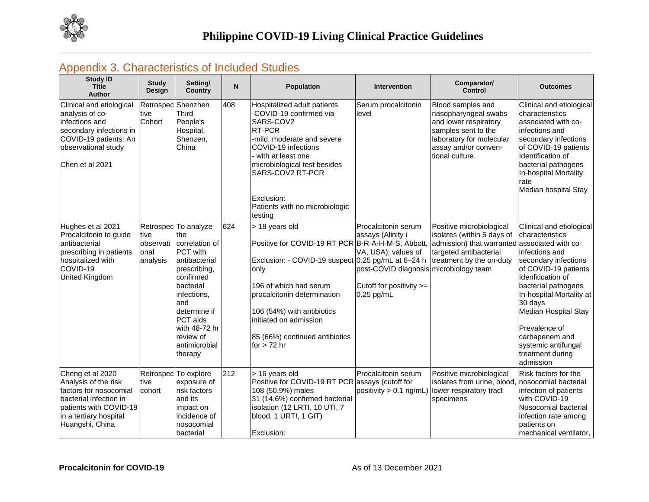

## Appendix 3. Characteristics of Included Studies

| <b>Study ID</b><br><b>Title</b><br><b>Author</b>                                                                                                                    | <b>Study</b><br><b>Design</b>          | Setting/<br><b>Country</b>                                                                                                                                                                                                              | N   | Population                                                                                                                                                                                                                                                                                                                                          | Intervention                                                                                                                                          | Comparator/<br><b>Control</b>                                                                                                                                    | <b>Outcomes</b>                                                                                                                                                                                                                                                                                                     |
|---------------------------------------------------------------------------------------------------------------------------------------------------------------------|----------------------------------------|-----------------------------------------------------------------------------------------------------------------------------------------------------------------------------------------------------------------------------------------|-----|-----------------------------------------------------------------------------------------------------------------------------------------------------------------------------------------------------------------------------------------------------------------------------------------------------------------------------------------------------|-------------------------------------------------------------------------------------------------------------------------------------------------------|------------------------------------------------------------------------------------------------------------------------------------------------------------------|---------------------------------------------------------------------------------------------------------------------------------------------------------------------------------------------------------------------------------------------------------------------------------------------------------------------|
| Clinical and etiological<br>analysis of co-<br>infections and<br>secondary infections in<br>COVID-19 patients: An<br>observational study<br>Chen et al 2021         | tive<br>Cohort                         | Retrospec Shenzhen<br><b>Third</b><br>People's<br>Hospital,<br>Shenzen,<br>China                                                                                                                                                        | 408 | Hospitalized adult patients<br>-COVID-19 confirmed via<br>SARS-COV2<br>RT-PCR<br>-mild, moderate and severe<br>COVID-19 infections<br>with at least one<br>microbiological test besides<br>SARS-COV2 RT-PCR<br>Exclusion:<br>Patients with no microbiologic<br>testing                                                                              | Serum procalcitonin<br>level                                                                                                                          | Blood samples and<br>nasopharyngeal swabs<br>and lower respiratory<br>samples sent to the<br>laboratory for molecular<br>assay and/or conven-<br>tional culture. | Clinical and etiological<br>characteristics<br>associated with co-<br>infections and<br>secondary infections<br>of COVID-19 patients<br>Identification of<br>bacterial pathogens<br>In-hospital Mortality<br>rate<br>Median hospital Stay                                                                           |
| Hughes et al 2021<br>Procalcitonin to guide<br>antibacterial<br>prescribing in patients<br>hospitalized with<br>COVID-19<br>United Kingdom                          | tive<br>observati<br>lonal<br>analysis | Retrospec To analyze<br>the<br>correlation of<br><b>PCT</b> with<br>antibacterial<br>prescribing,<br>confirmed<br>bacterial<br>infections,<br>and<br>determine if<br>PCT aids<br>with 48-72 hr<br>review of<br>antimicrobial<br>therapy | 624 | > 18 years old<br>Positive for COVID-19 RT PCR B R A H M S, Abbott, admission) that warranted associated with co-<br>Exclusion: - COVID-19 suspect 0.25 pg/mL at 6-24 h<br>only<br>196 of which had serum<br>procalcitonin determination<br>106 (54%) with antibiotics<br>initiated on admission<br>85 (66%) continued antibiotics<br>for $> 72$ hr | Procalcitonin serum<br>assays (Alinity i<br>VA, USA); values of<br>post-COVID diagnosis microbiology team<br>Cutoff for positivity >=<br>$0.25$ pg/mL | Positive microbiological<br>isolates (within 5 days of<br>targeted antibacterial<br>treatment by the on-duty                                                     | Clinical and etiological<br>characteristics<br>infections and<br>secondary infections<br>of COVID-19 patients<br>Idenfitication of<br>bacterial pathogens<br>In-hospital Mortality at<br>30 days<br>Median Hospital Stay<br>Prevalence of<br>carbapenem and<br>systemic antifungal<br>treatment during<br>admission |
| Cheng et al 2020<br>Analysis of the risk<br>factors for nosocomial<br>bacterial infection in<br>patients with COVID-19<br>in a tertiary hospital<br>Huangshi, China | Retrospec<br>tive<br>cohort            | To explore<br>exposure of<br>risk factors<br>and its<br>impact on<br>incidence of<br>nosocomial<br>bacterial                                                                                                                            | 212 | > 16 years old<br>Positive for COVID-19 RT PCR assays (cutoff for<br>108 (50.9%) males<br>31 (14.6%) confirmed bacterial<br>isolation (12 LRTI, 10 UTI, 7<br>blood, 1 URTI, 1 GIT)<br>Exclusion:                                                                                                                                                    | Procalcitonin serum                                                                                                                                   | Positive microbiological<br>isolates from urine, blood,<br>positivity > 0.1 ng/mL) lower respiratory tract<br>specimens                                          | Risk factors for the<br>nosocomial bacterial<br>infection of patients<br>with COVID-19<br>Nosocomial bacterial<br>infection rate among<br>patients on<br>mechanical ventilator,                                                                                                                                     |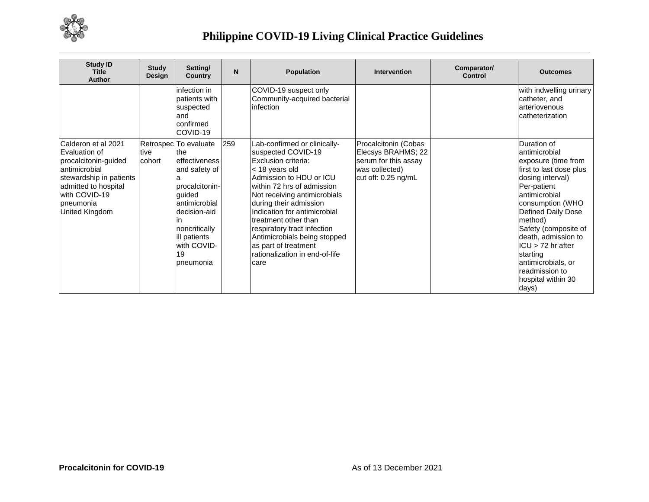

# **Philippine COVID-19 Living Clinical Practice Guidelines**

| <b>Study ID</b><br><b>Title</b><br>Author                                                                                                                                               | <b>Study</b><br>Design | Setting/<br><b>Country</b>                                                                                                                                                                      | N   | <b>Population</b>                                                                                                                                                                                                                                                                                                                                                                                          | <b>Intervention</b>                                                                                         | Comparator/<br>Control | <b>Outcomes</b>                                                                                                                                                                                                                                                                                                                                  |
|-----------------------------------------------------------------------------------------------------------------------------------------------------------------------------------------|------------------------|-------------------------------------------------------------------------------------------------------------------------------------------------------------------------------------------------|-----|------------------------------------------------------------------------------------------------------------------------------------------------------------------------------------------------------------------------------------------------------------------------------------------------------------------------------------------------------------------------------------------------------------|-------------------------------------------------------------------------------------------------------------|------------------------|--------------------------------------------------------------------------------------------------------------------------------------------------------------------------------------------------------------------------------------------------------------------------------------------------------------------------------------------------|
|                                                                                                                                                                                         |                        | infection in<br>patients with<br>suspected<br>land<br>confirmed<br>COVID-19                                                                                                                     |     | COVID-19 suspect only<br>Community-acquired bacterial<br>linfection                                                                                                                                                                                                                                                                                                                                        |                                                                                                             |                        | with indwelling urinary<br>catheter, and<br>arteriovenous<br>catheterization                                                                                                                                                                                                                                                                     |
| Calderon et al 2021<br>Evaluation of<br>procalcitonin-guided<br>antimicrobial<br>stewardship in patients<br>admitted to hospital<br>with COVID-19<br>pneumonia<br><b>United Kingdom</b> | <b>Itive</b><br>cohort | Retrospec To evaluate<br>lthe<br>effectiveness<br>and safety of<br>procalcitonin-<br>quided<br>antimicrobial<br>decision-aid<br>noncritically<br>ill patients<br>with COVID-<br>19<br>pneumonia | 259 | Lab-confirmed or clinically-<br>suspected COVID-19<br>Exclusion criteria:<br>< 18 years old<br>Admission to HDU or ICU<br>lwithin 72 hrs of admission.<br>Not receiving antimicrobials<br>during their admission<br>Indication for antimicrobial<br>Itreatment other than<br>respiratory tract infection<br>Antimicrobials being stopped<br>as part of treatment<br>rationalization in end-of-life<br>care | Procalcitonin (Cobas<br>Elecsys BRAHMS; 22<br>serum for this assay<br>was collected)<br>cut off: 0.25 ng/mL |                        | Duration of<br>antimicrobial<br>exposure (time from<br>first to last dose plus<br>dosing interval)<br>Per-patient<br>antimicrobial<br>consumption (WHO<br>Defined Daily Dose<br>method)<br>Safety (composite of<br>death, admission to<br>$ICU > 72$ hr after<br>starting<br>antimicrobials, or<br>readmission to<br>hospital within 30<br>days) |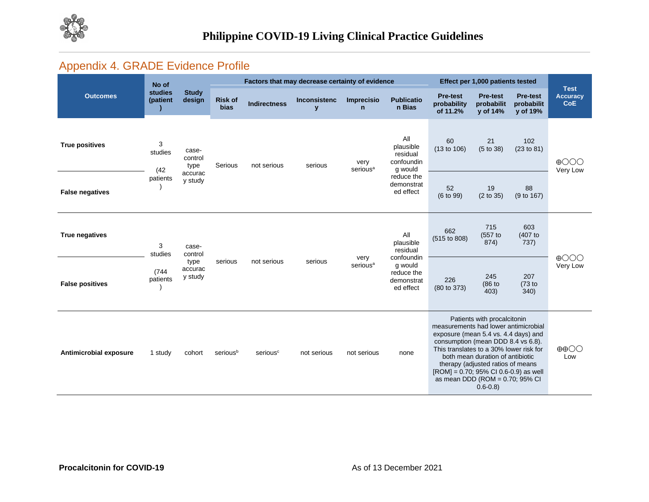

# Appendix 4. GRADE Evidence Profile

|                        | No of                             | <b>Study</b><br>design     | Factors that may decrease certainty of evidence |                      |                                     |                              |                                                                                                | Effect per 1,000 patients tested                                                                                                                                                                                                                                                                                                                                    |                                           |                                           | <b>Test</b>                   |
|------------------------|-----------------------------------|----------------------------|-------------------------------------------------|----------------------|-------------------------------------|------------------------------|------------------------------------------------------------------------------------------------|---------------------------------------------------------------------------------------------------------------------------------------------------------------------------------------------------------------------------------------------------------------------------------------------------------------------------------------------------------------------|-------------------------------------------|-------------------------------------------|-------------------------------|
| <b>Outcomes</b>        | <b>studies</b><br>(patient        |                            | <b>Risk of</b><br><b>bias</b>                   | <b>Indirectness</b>  | <b>Inconsistenc</b><br>$\mathbf{y}$ | Imprecisio<br>$\mathsf{n}$   | <b>Publicatio</b><br>n Bias                                                                    | <b>Pre-test</b><br>probability<br>of 11.2%                                                                                                                                                                                                                                                                                                                          | <b>Pre-test</b><br>probabilit<br>y of 14% | <b>Pre-test</b><br>probabilit<br>y of 19% | <b>Accuracy</b><br><b>CoE</b> |
| <b>True positives</b>  | 3<br>studies<br>(42)<br>patients  | case-<br>control<br>type   | Serious                                         | not serious          | serious                             | very<br>serious <sup>a</sup> | All<br>plausible<br>residual<br>confoundin<br>g would<br>reduce the<br>demonstrat<br>ed effect | 60<br>(13 to 106)                                                                                                                                                                                                                                                                                                                                                   | 21<br>(5 to 38)                           | 102<br>(23 to 81)                         | $\oplus$ OOO<br>Very Low      |
| <b>False negatives</b> |                                   | accurac<br>y study         |                                                 |                      |                                     |                              |                                                                                                | 52<br>(6 to 99)                                                                                                                                                                                                                                                                                                                                                     | 19<br>(2 to 35)                           | 88<br>(9 to 167)                          |                               |
| True negatives         | 3<br>studies<br>(744)<br>patients | case-<br>control           |                                                 | not serious          | serious                             | very<br>serious <sup>a</sup> | All<br>plausible<br>residual<br>confoundin<br>g would<br>reduce the<br>demonstrat<br>ed effect | 662<br>(515 to 808)                                                                                                                                                                                                                                                                                                                                                 | 715<br>(557 to<br>874)                    | 603<br>(407 to<br>737)                    | $\bigoplus$<br>Very Low       |
| <b>False positives</b> |                                   | type<br>accurac<br>y study | serious                                         |                      |                                     |                              |                                                                                                | 226<br>(80 to 373)                                                                                                                                                                                                                                                                                                                                                  | 245<br>(86 to<br>403)                     | 207<br>(73 to<br>340)                     |                               |
| Antimicrobial exposure | 1 study                           | cohort                     | serious <sup>b</sup>                            | serious <sup>c</sup> | not serious                         | not serious                  | none                                                                                           | Patients with procalcitonin<br>measurements had lower antimicrobial<br>exposure (mean 5.4 vs. 4.4 days) and<br>consumption (mean DDD 8.4 vs 6.8).<br>This translates to a 30% lower risk for<br>both mean duration of antibiotic<br>therapy (adjusted ratios of means<br>$[ROM] = 0.70$ ; 95% CI 0.6-0.9) as well<br>as mean DDD (ROM = 0.70; 95% CI<br>$0.6 - 0.8$ |                                           | $\oplus$ $\oplus$<br>Low                  |                               |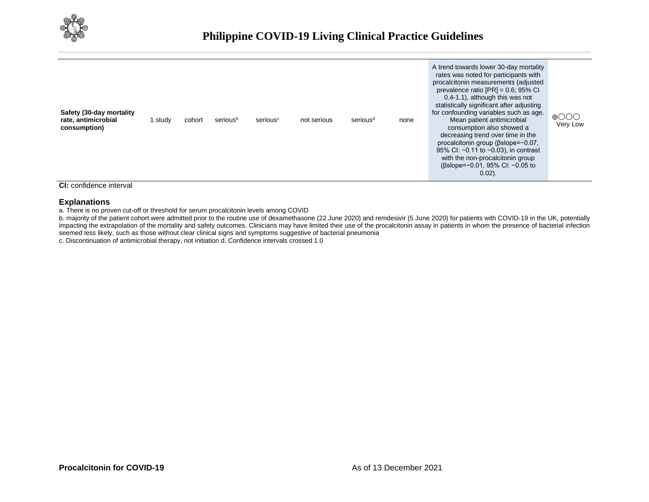

| Safety (30-day mortality<br>rate, antimicrobial<br>consumption) | study | cohort | serious <sup>b</sup> | serious <sup>c</sup> | not serious | serious <sup>d</sup> | none | A trend towards lower 30-day mortality<br>rates was noted for participants with<br>procalcitonin measurements (adjusted<br>prevalence ratio $[PR] = 0.6$ ; 95% CI<br>0.4-1.1), although this was not<br>statistically significant after adjusting<br>for confounding variables such as age.<br>Mean patient antimicrobial<br>consumption also showed a<br>decreasing trend over time in the<br>procalcitonin group (βslope=-0.07,<br>95% CI: -0.11 to -0.03), in contrast<br>with the non-procalcitonin group<br>$(\beta$ slope=-0.01, 95% CI: -0.05 to<br>$0.02$ ). | $\bigoplus$ OOO<br>Very Low |
|-----------------------------------------------------------------|-------|--------|----------------------|----------------------|-------------|----------------------|------|----------------------------------------------------------------------------------------------------------------------------------------------------------------------------------------------------------------------------------------------------------------------------------------------------------------------------------------------------------------------------------------------------------------------------------------------------------------------------------------------------------------------------------------------------------------------|-----------------------------|
|-----------------------------------------------------------------|-------|--------|----------------------|----------------------|-------------|----------------------|------|----------------------------------------------------------------------------------------------------------------------------------------------------------------------------------------------------------------------------------------------------------------------------------------------------------------------------------------------------------------------------------------------------------------------------------------------------------------------------------------------------------------------------------------------------------------------|-----------------------------|

#### **CI:** confidence interval

#### **Explanations**

a. There is no proven cut-off or threshold for serum procalcitonin levels among COVID

b. majority of the patient cohort were admitted prior to the routine use of dexamethasone (22 June 2020) and remdesivir (5 June 2020) for patients with COVID-19 in the UK, potentially impacting the extrapolation of the mortality and safety outcomes. Clinicians may have limited their use of the procalcitonin assay in patients in whom the presence of bacterial infection seemed less likely, such as those without clear clinical signs and symptoms suggestive of bacterial pneumonia

c. Discontinuation of antimicrobial therapy, not initiation d. Confidence intervals crossed 1.0